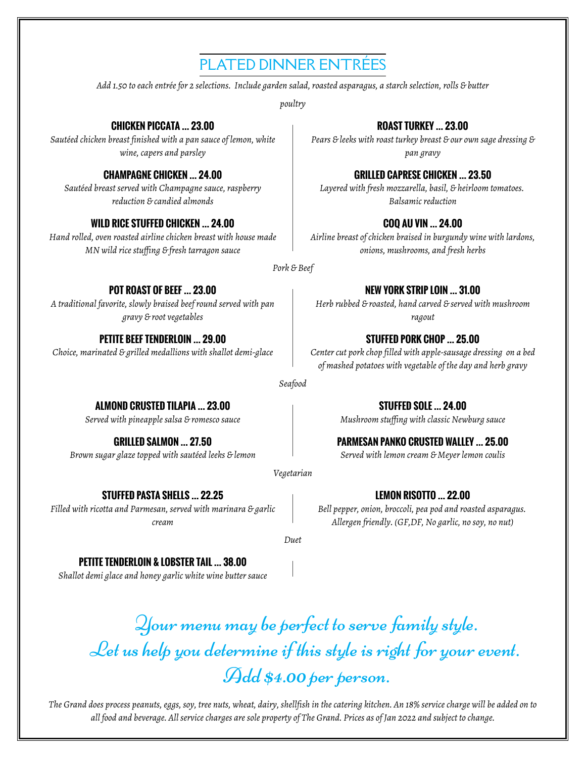# PLATED DINNER ENTRÉES

*Add 1.50 to each entrée for 2 selections. Include garden salad, roasted asparagus, a starch selection, rolls & butter*

*poultry*

## **CHICKEN PICCATA … 23.00**

*Sautéed chicken breast finished with a pan sauce of lemon, white wine, capers and parsley*

### **CHAMPAGNE CHICKEN … 24.00**

*Sautéed breast served with Champagne sauce, raspberry reduction & candied almonds*

## **WILD RICE STUFFED CHICKEN … 24.00**

*Hand rolled, oven roasted airline chicken breast with house made MN wild rice stuffing & fresh tarragon sauce*

# **ROAST TURKEY … 23.00**

*Pears & leeks with roast turkey breast & our own sage dressing & pan gravy*

## **GRILLED CAPRESE CHICKEN … 23.50**

*Layered with fresh mozzarella, basil, & heirloom tomatoes. Balsamic reduction*

## **COQ AU VIN … 24.00**

*Airline breast of chicken braised in burgundy wine with lardons, onions, mushrooms, and fresh herbs*

*Pork & Beef*

## **POT ROAST OF BEEF … 23.00**

*A traditional favorite, slowly braised beef round served with pan gravy & root vegetables*

### **PETITE BEEF TENDERLOIN … 29.00**

*Choice, marinated & grilled medallions with shallot demi-glace*

# **NEW YORK STRIP LOIN … 31.00**

*Herb rubbed & roasted, hand carved & served with mushroom ragout*

# **STUFFED PORK CHOP … 25.00**

*Center cut pork chop filled with apple-sausage dressing on a bed of mashed potatoes with vegetable of the day and herb gravy*

> **STUFFED SOLE … 24.00** *Mushroom stuffing with classic Newburg sauce*

### *Seafood*

**ALMOND CRUSTED TILAPIA … 23.00** *Served with pineapple salsa & romesco sauce*

**GRILLED SALMON … 27.50** *Brown sugar glaze topped with sautéed leeks & lemon*

*Vegetarian*

# **STUFFED PASTA SHELLS … 22.25**

*Filled with ricotta and Parmesan, served with marinara & garlic cream*

**PARMESAN PANKO CRUSTED WALLEY … 25.00**

*Served with lemon cream & Meyer lemon coulis*

**LEMON RISOTTO … 22.00**

*Bell pepper, onion, broccoli, pea pod and roasted asparagus. Allergen friendly. (GF,DF, No garlic, no soy, no nut)*

*Duet*

# **PETITE TENDERLOIN & LOBSTER TAIL … 38.00**

*Shallot demi glace and honey garlic white wine butter sauce*

Your menu may be perfect to serve family style. Let us help you determine if this style is right for your event. Add \$4.00 per person.

*The Grand does process peanuts, eggs, soy, tree nuts, wheat, dairy, shellfish in the catering kitchen. An 18% service charge will be added on to all food and beverage. All service charges are sole property of The Grand. Prices as of Jan 2022 and subject to change.*